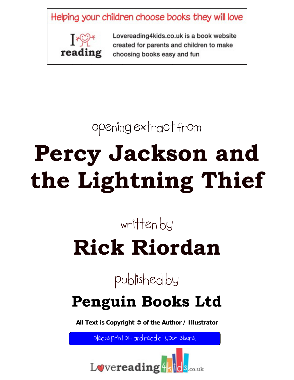Helping your children choose books they will love



Lovereading4kids.co.uk is a book website created for parents and children to make **Exercise** Choosing books easy and fun

#### Opening extract from

# **Percy Jackson and the Lightning Thief**

## Written by **Rick Riordan**

### Published by

#### **Penguin Books Ltd**

**All Text is Copyright © of the Author / Illustrator** 

Please print off and read at your leisure.

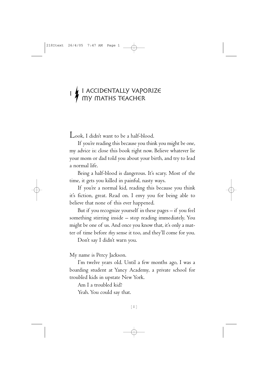#### I ACCIDENTALLY VAPORIZE MY MATHS TEACHER 1

Look, I didn't want to be a half-blood.

If you're reading this because you think you might be one, my advice is: close this book right now. Believe whatever lie your mom or dad told you about your birth, and try to lead a normal life.

Being a half-blood is dangerous. It's scary. Most of the time, it gets you killed in painful, nasty ways.

If you're a normal kid, reading this because you think it's fiction, great. Read on. I envy you for being able to believe that none of this ever happened.

But if you recognize yourself in these pages – if you feel something stirring inside – stop reading immediately. You might be one of us. And once you know that, it's only a matter of time before *they* sense it too, and they'll come for you.

Don't say I didn't warn you.

My name is Percy Jackson.

I'm twelve years old. Until a few months ago, I was a boarding student at Yancy Academy, a private school for troubled kids in upstate New York.

Am I a troubled kid?

Yeah. You could say that.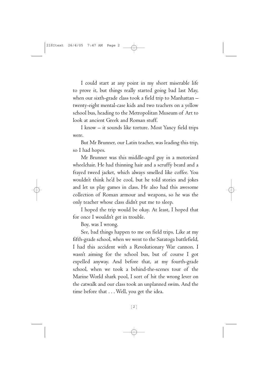I could start at any point in my short miserable life to prove it, but things really started going bad last May, when our sixth-grade class took a field trip to Manhattan – twenty-eight mental-case kids and two teachers on a yellow school bus, heading to the Metropolitan Museum of Art to look at ancient Greek and Roman stuff.

I know – it sounds like torture. Most Yancy field trips were.

But Mr Brunner, our Latin teacher, was leading this trip, so I had hopes.

Mr Brunner was this middle-aged guy in a motorized wheelchair. He had thinning hair and a scruffy beard and a frayed tweed jacket, which always smelled like coffee. You wouldn't think he'd be cool, but he told stories and jokes and let us play games in class. He also had this awesome collection of Roman armour and weapons, so he was the only teacher whose class didn't put me to sleep.

I hoped the trip would be okay. At least, I hoped that for once I wouldn't get in trouble.

Boy, was I wrong.

See, bad things happen to me on field trips. Like at my fifth-grade school, when we went to the Saratoga battlefield, I had this accident with a Revolutionary War cannon. I wasn't aiming for the school bus, but of course I got expelled anyway. And before that, at my fourth-grade school, when we took a behind-the-scenes tour of the Marine World shark pool, I sort of hit the wrong lever on the catwalk and our class took an unplanned swim. And the time before that . . . Well, you get the idea.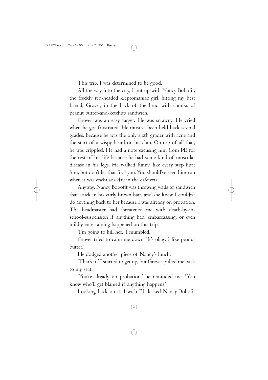This trip, I was determined to be good.

All the way into the city, I put up with Nancy Bobofit, the freckly red-headed kleptomaniac girl, hitting my best friend, Grover, in the back of the head with chunks of peanut butter-and-ketchup sandwich.

Grover was an easy target. He was scrawny. He cried when he got frustrated. He must've been held back several grades, because he was the only sixth grader with acne and the start of a wispy beard on his chin. On top of all that, he was crippled. He had a note excusing him from PE for the rest of his life because he had some kind of muscular disease in his legs. He walked funny, like every step hurt him, but don't let that fool you. You should've seen him run when it was enchilada day in the cafeteria.

Anyway, Nancy Bobofit was throwing wads of sandwich that stuck in his curly brown hair, and she knew I couldn't do anything back to her because I was already on probation. The headmaster had threatened me with death-by-inschool-suspension if anything bad, embarrassing, or even mildly entertaining happened on this trip.

'I'm going to kill her,' I mumbled.

Grover tried to calm me down. 'It's okay. I like peanut butter.'

He dodged another piece of Nancy's lunch.

'That's it.' I started to get up, but Grover pulled me back to my seat.

'You're already on probation,' he reminded me. 'You know who'll get blamed if anything happens.'

Looking back on it, I wish I'd decked Nancy Bobofit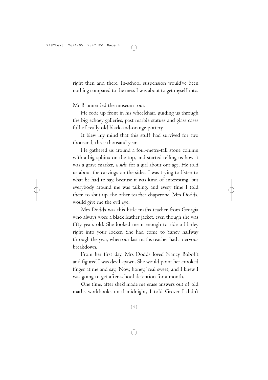right then and there. In-school suspension would've been nothing compared to the mess I was about to get myself into.

Mr Brunner led the museum tour.

He rode up front in his wheelchair, guiding us through the big echoey galleries, past marble statues and glass cases full of really old black-and-orange pottery.

It blew my mind that this stuff had survived for two thousand, three thousand years.

He gathered us around a four-metre-tall stone column with a big sphinx on the top, and started telling us how it was a grave marker, a *stele*, for a girl about our age. He told us about the carvings on the sides. I was trying to listen to what he had to say, because it was kind of interesting, but everybody around me was talking, and every time I told them to shut up, the other teacher chaperone, Mrs Dodds, would give me the evil eye.

Mrs Dodds was this little maths teacher from Georgia who always wore a black leather jacket, even though she was fifty years old. She looked mean enough to ride a Harley right into your locker. She had come to Yancy halfway through the year, when our last maths teacher had a nervous breakdown.

From her first day, Mrs Dodds loved Nancy Bobofit and figured I was devil spawn. She would point her crooked finger at me and say, 'Now, honey,' real sweet, and I knew I was going to get after-school detention for a month.

One time, after she'd made me erase answers out of old maths workbooks until midnight, I told Grover I didn't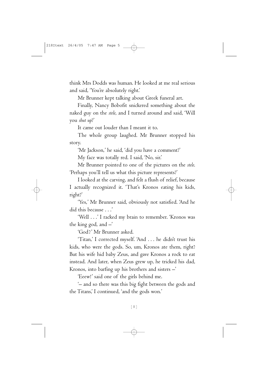think Mrs Dodds was human. He looked at me real serious and said, 'You're absolutely right.'

Mr Brunner kept talking about Greek funeral art.

Finally, Nancy Bobofit snickered something about the naked guy on the *stele*, and I turned around and said, 'Will you *shut up*?'

It came out louder than I meant it to.

The whole group laughed. Mr Brunner stopped his story.

'Mr Jackson,' he said, 'did you have a comment?'

My face was totally red. I said, 'No, sir.'

Mr Brunner pointed to one of the pictures on the *stele*. 'Perhaps you'll tell us what this picture represents?'

I looked at the carving, and felt a flush of relief, because I actually recognized it. 'That's Kronos eating his kids, right?'

'Yes,' Mr Brunner said, obviously not satisfied. 'And he did this because . . .'

'Well . . .' I racked my brain to remember. 'Kronos was the king god, and –'

'God?' Mr Brunner asked.

'Titan,' I corrected myself. 'And . . . he didn't trust his kids, who were the gods. So, um, Kronos ate them, right? But his wife hid baby Zeus, and gave Kronos a rock to eat instead. And later, when Zeus grew up, he tricked his dad, Kronos, into barfing up his brothers and sisters –'

'Eeew!' said one of the girls behind me.

'– and so there was this big fight between the gods and the Titans,' I continued, 'and the gods won.'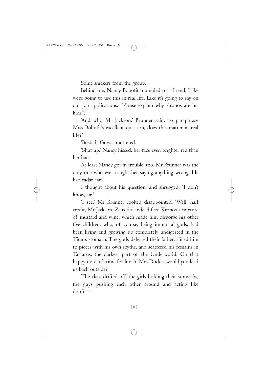Some snickers from the group.

Behind me, Nancy Bobofit mumbled to a friend, 'Like we're going to use this in real life. Like it's going to say on our job applications, "Please explain why Kronos ate his kids".'

'And why, Mr Jackson,' Brunner said, 'to paraphrase Miss Bobofit's excellent question, does this matter in real  $l$ ife?'

'Busted,' Grover muttered.

'Shut up,' Nancy hissed, her face even brighter red than her hair.

At least Nancy got in trouble, too. Mr Brunner was the only one who ever caught her saying anything wrong. He had radar ears.

I thought about his question, and shrugged. 'I don't know, sir.'

'I see.' Mr Brunner looked disappointed. 'Well, half credit, Mr Jackson. Zeus did indeed feed Kronos a mixture of mustard and wine, which made him disgorge his other five children, who, of course, being immortal gods, had been living and growing up completely undigested in the Titan's stomach. The gods defeated their father, sliced him to pieces with his own scythe, and scattered his remains in Tartarus, the darkest part of the Underworld. On that happy note, it's time for lunch. Mrs Dodds, would you lead us back outside?'

The class drifted off, the girls holding their stomachs, the guys pushing each other around and acting like doofuses.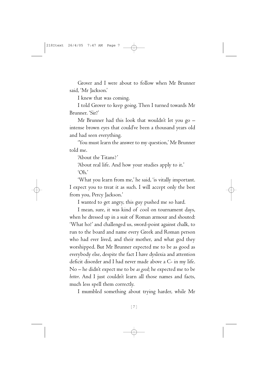Grover and I were about to follow when Mr Brunner said, 'Mr Jackson.'

I knew that was coming.

I told Grover to keep going. Then I turned towards Mr Brunner. 'Sir?'

Mr Brunner had this look that wouldn't let you go – intense brown eyes that could've been a thousand years old and had seen everything.

'You must learn the answer to my question,' Mr Brunner told me.

'About the Titans?'

'About real life. And how your studies apply to it.'  $'$ Oh $'$ 

'What you learn from me,' he said, 'is vitally important. I expect you to treat it as such. I will accept only the best from you, Percy Jackson.'

I wanted to get angry, this guy pushed me so hard.

I mean, sure, it was kind of cool on tournament days, when he dressed up in a suit of Roman armour and shouted: 'What ho!' and challenged us, sword-point against chalk, to run to the board and name every Greek and Roman person who had ever lived, and their mother, and what god they worshipped. But Mr Brunner expected me to be as good as everybody else, despite the fact I have dyslexia and attention deficit disorder and I had never made above a C- in my life. No – he didn't expect me to be *as good*; he expected me to be *better*. And I just couldn't learn all those names and facts, much less spell them correctly.

I mumbled something about trying harder, while Mr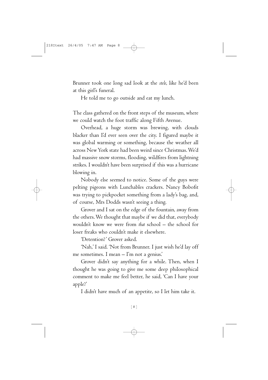Brunner took one long sad look at the *stele*, like he'd been at this girl's funeral.

He told me to go outside and eat my lunch.

The class gathered on the front steps of the museum, where we could watch the foot traffic along Fifth Avenue.

Overhead, a huge storm was brewing, with clouds blacker than I'd ever seen over the city. I figured maybe it was global warming or something, because the weather all across New York state had been weird since Christmas. We'd had massive snow storms, flooding, wildfires from lightning strikes. I wouldn't have been surprised if this was a hurricane blowing in.

Nobody else seemed to notice. Some of the guys were pelting pigeons with Lunchables crackers. Nancy Bobofit was trying to pickpocket something from a lady's bag, and, of course, Mrs Dodds wasn't seeing a thing.

Grover and I sat on the edge of the fountain, away from the others. We thought that maybe if we did that, everybody wouldn't know we were from *that* school – the school for loser freaks who couldn't make it elsewhere.

'Detention?' Grover asked.

'Nah,' I said. 'Not from Brunner. I just wish he'd lay off me sometimes. I mean – I'm not a genius.'

Grover didn't say anything for a while. Then, when I thought he was going to give me some deep philosophical comment to make me feel better, he said, 'Can I have your apple?'

I didn't have much of an appetite, so I let him take it.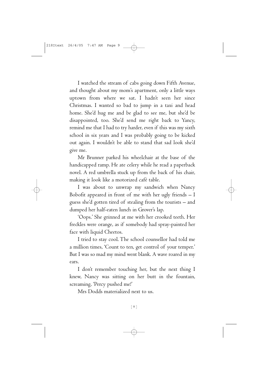I watched the stream of cabs going down Fifth Avenue, and thought about my mom's apartment, only a little ways uptown from where we sat. I hadn't seen her since Christmas. I wanted so bad to jump in a taxi and head home. She'd hug me and be glad to see me, but she'd be disappointed, too. She'd send me right back to Yancy, remind me that I had to try harder, even if this was my sixth school in six years and I was probably going to be kicked out again. I wouldn't be able to stand that sad look she'd give me.

Mr Brunner parked his wheelchair at the base of the handicapped ramp. He ate celery while he read a paperback novel. A red umbrella stuck up from the back of his chair, making it look like a motorized café table.

I was about to unwrap my sandwich when Nancy Bobofit appeared in front of me with her ugly friends – I guess she'd gotten tired of stealing from the tourists – and dumped her half-eaten lunch in Grover's lap.

'Oops.' She grinned at me with her crooked teeth. Her freckles were orange, as if somebody had spray-painted her face with liquid Cheetos.

I tried to stay cool. The school counsellor had told me a million times, 'Count to ten, get control of your temper.' But I was so mad my mind went blank. A wave roared in my ears.

I don't remember touching her, but the next thing I knew, Nancy was sitting on her butt in the fountain, screaming, 'Percy pushed me!'

Mrs Dodds materialized next to us.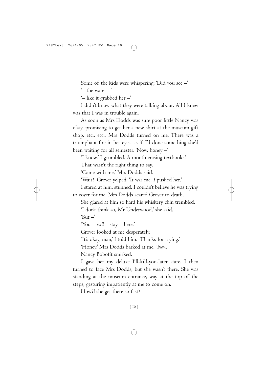Some of the kids were whispering: 'Did you see –'

 $-$  the water  $-$ '

'– like it grabbed her –'

I didn't know what they were talking about. All I knew was that I was in trouble again.

As soon as Mrs Dodds was sure poor little Nancy was okay, promising to get her a new shirt at the museum gift shop, etc., etc., Mrs Dodds turned on me. There was a triumphant fire in her eyes, as if I'd done something she'd been waiting for all semester. 'Now, honey –'

'I know,' I grumbled. 'A month erasing textbooks.'

That wasn't the right thing to say.

'Come with me,' Mrs Dodds said.

'Wait!' Grover yelped. 'It was me. *I* pushed her.'

I stared at him, stunned. I couldn't believe he was trying to cover for me. Mrs Dodds scared Grover to death.

She glared at him so hard his whiskery chin trembled.

'I don't think so, Mr Underwood,' she said.

'But  $-$ '

'You – *will* – stay – here.'

Grover looked at me desperately.

'It's okay, man,' I told him. 'Thanks for trying.'

'Honey,' Mrs Dodds barked at me. *'Now.'*

Nancy Bobofit smirked.

I gave her my deluxe I'll-kill-you-later stare. I then turned to face Mrs Dodds, but she wasn't there. She was standing at the museum entrance, way at the top of the steps, gesturing impatiently at me to come on.

How'd she get there so fast?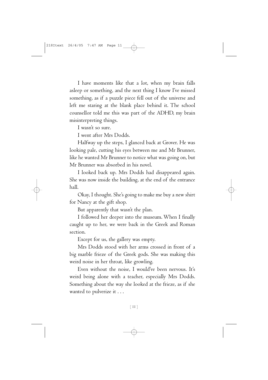I have moments like that a lot, when my brain falls asleep or something, and the next thing I know I've missed something, as if a puzzle piece fell out of the universe and left me staring at the blank place behind it. The school counsellor told me this was part of the ADHD, my brain misinterpreting things.

I wasn't so sure.

I went after Mrs Dodds.

Halfway up the steps, I glanced back at Grover. He was looking pale, cutting his eyes between me and Mr Brunner, like he wanted Mr Brunner to notice what was going on, but Mr Brunner was absorbed in his novel.

I looked back up. Mrs Dodds had disappeared again. She was now inside the building, at the end of the entrance hall.

Okay, I thought. She's going to make me buy a new shirt for Nancy at the gift shop.

But apparently that wasn't the plan.

I followed her deeper into the museum. When I finally caught up to her, we were back in the Greek and Roman section.

Except for us, the gallery was empty.

Mrs Dodds stood with her arms crossed in front of a big marble frieze of the Greek gods. She was making this weird noise in her throat, like growling.

Even without the noise, I would've been nervous. It's weird being alone with a teacher, especially Mrs Dodds. Something about the way she looked at the frieze, as if she wanted to pulverize it . . .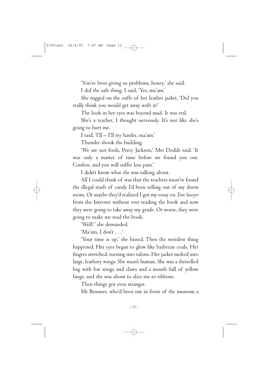'You've been giving us problems, honey,' she said.

I did the safe thing. I said, 'Yes, ma'am.'

She tugged on the cuffs of her leather jacket. 'Did you really think you would get away with it?'

The look in her eyes was beyond mad. It was evil.

She's a teacher, I thought nervously. It's not like she's going to hurt me.

I said, 'I'll – I'll try harder, ma'am.'

Thunder shook the building.

'We are not fools, Percy Jackson,' Mrs Dodds said. 'It was only a matter of time before we found you out. Confess, and you will suffer less pain.'

I didn't know what she was talking about.

All I could think of was that the teachers must've found the illegal stash of candy I'd been selling out of my dorm room. Or maybe they'd realized I got my essay on *Tom Sawyer* from the Internet without ever reading the book and now they were going to take away my grade. Or worse, they were going to make me read the book.

'Well?' she demanded.

'Ma'am, I don't . . .'

'Your time is up,' she hissed. Then the weirdest thing happened. Her eyes began to glow like barbecue coals. Her fingers stretched, turning into talons. Her jacket melted into large, leathery wings. She wasn't human. She was a shrivelled hag with bat wings and claws and a mouth full of yellow fangs, and she was about to slice me to ribbons.

Then things got even stranger.

Mr Brunner, who'd been out in front of the museum a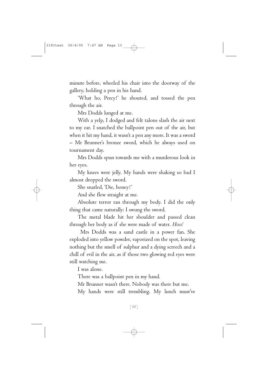minute before, wheeled his chair into the doorway of the gallery, holding a pen in his hand.

'What ho, Percy!' he shouted, and tossed the pen through the air.

Mrs Dodds lunged at me.

With a yelp, I dodged and felt talons slash the air next to my ear. I snatched the ballpoint pen out of the air, but when it hit my hand, it wasn't a pen any more. It was a sword – Mr Brunner's bronze sword, which he always used on tournament day.

Mrs Dodds spun towards me with a murderous look in her eyes.

My knees were jelly. My hands were shaking so bad I almost dropped the sword.

She snarled, 'Die, honey!'

And she flew straight at me.

Absolute terror ran through my body. I did the only thing that came naturally: I swung the sword.

The metal blade hit her shoulder and passed clean through her body as if she were made of water. *Hisss!*

Mrs Dodds was a sand castle in a power fan. She exploded into yellow powder, vaporized on the spot, leaving nothing but the smell of sulphur and a dying screech and a chill of evil in the air, as if those two glowing red eyes were still watching me.

I was alone.

There was a ballpoint pen in my hand.

Mr Brunner wasn't there. Nobody was there but me.

My hands were still trembling. My lunch must've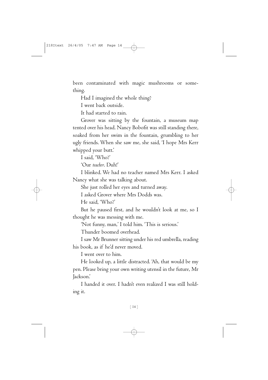been contaminated with magic mushrooms or something.

Had I imagined the whole thing?

I went back outside.

It had started to rain.

Grover was sitting by the fountain, a museum map tented over his head. Nancy Bobofit was still standing there, soaked from her swim in the fountain, grumbling to her ugly friends. When she saw me, she said, 'I hope Mrs Kerr whipped your butt.'

I said, 'Who?'

'Our *teacher*. Duh!'

I blinked. We had no teacher named Mrs Kerr. I asked Nancy what she was talking about.

She just rolled her eyes and turned away.

I asked Grover where Mrs Dodds was.

He said, 'Who?'

But he paused first, and he wouldn't look at me, so I thought he was messing with me.

'Not funny, man,' I told him. 'This is serious.'

Thunder boomed overhead.

I saw Mr Brunner sitting under his red umbrella, reading his book, as if he'd never moved.

I went over to him.

He looked up, a little distracted. 'Ah, that would be my pen. Please bring your own writing utensil in the future, Mr Jackson.'

I handed it over. I hadn't even realized I was still holding it.